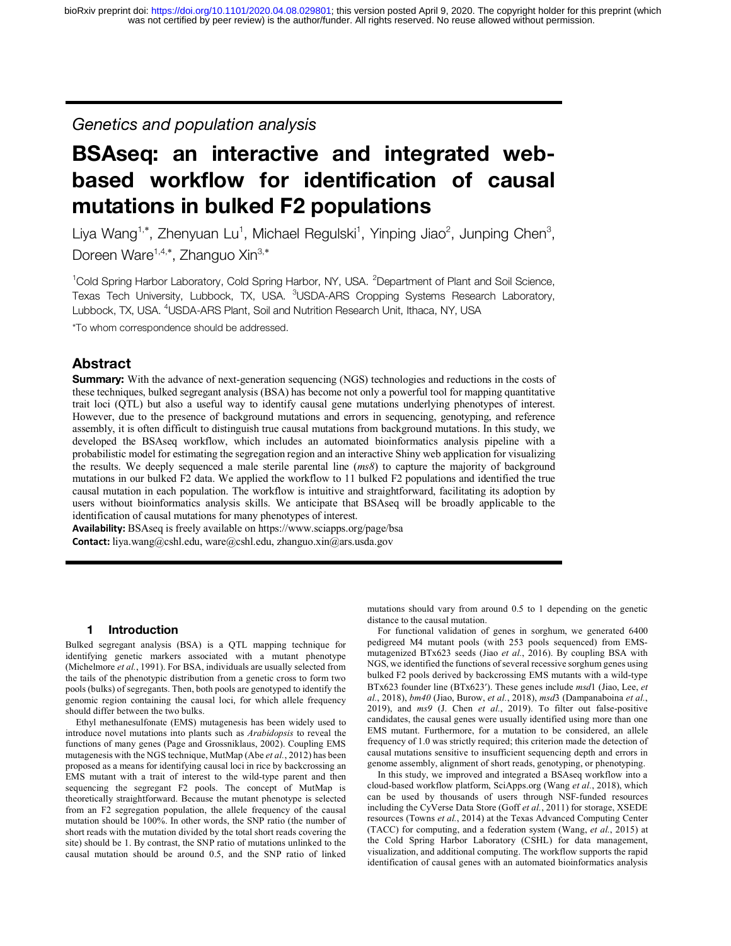*Genetics and population analysis*

# **BSAseq: an interactive and integrated webbased workflow for identification of causal mutations in bulked F2 populations**

Liya Wang<sup>1,\*</sup>, Zhenyuan Lu<sup>1</sup>, Michael Regulski<sup>1</sup>, Yinping Jiao<sup>2</sup>, Junping Chen<sup>3</sup>, Doreen Ware<sup>1,4,\*</sup>, Zhanguo Xin<sup>3,\*</sup>

<sup>1</sup>Cold Spring Harbor Laboratory, Cold Spring Harbor, NY, USA. <sup>2</sup>Department of Plant and Soil Science, Texas Tech University, Lubbock, TX, USA. <sup>3</sup>USDA-ARS Cropping Systems Research Laboratory, Lubbock, TX, USA. <sup>4</sup>USDA-ARS Plant, Soil and Nutrition Research Unit, Ithaca, NY, USA

\*To whom correspondence should be addressed.

# **Abstract**

**Summary:** With the advance of next-generation sequencing (NGS) technologies and reductions in the costs of these techniques, bulked segregant analysis (BSA) has become not only a powerful tool for mapping quantitative trait loci (QTL) but also a useful way to identify causal gene mutations underlying phenotypes of interest. However, due to the presence of background mutations and errors in sequencing, genotyping, and reference assembly, it is often difficult to distinguish true causal mutations from background mutations. In this study, we developed the BSAseq workflow, which includes an automated bioinformatics analysis pipeline with a probabilistic model for estimating the segregation region and an interactive Shiny web application for visualizing the results. We deeply sequenced a male sterile parental line (*ms8*) to capture the majority of background mutations in our bulked F2 data. We applied the workflow to 11 bulked F2 populations and identified the true causal mutation in each population. The workflow is intuitive and straightforward, facilitating its adoption by users without bioinformatics analysis skills. We anticipate that BSAseq will be broadly applicable to the identification of causal mutations for many phenotypes of interest.

**Availability:** BSAseq is freely available on https://www.sciapps.org/page/bsa **Contact:** liya.wang@cshl.edu, ware@cshl.edu, zhanguo.xin@ars.usda.gov

#### **1 Introduction**

Bulked segregant analysis (BSA) is a QTL mapping technique for identifying genetic markers associated with a mutant phenotype (Michelmore *et al.*, 1991). For BSA, individuals are usually selected from the tails of the phenotypic distribution from a genetic cross to form two pools (bulks) of segregants. Then, both pools are genotyped to identify the genomic region containing the causal loci, for which allele frequency should differ between the two bulks.

Ethyl methanesulfonate (EMS) mutagenesis has been widely used to introduce novel mutations into plants such as *Arabidopsis* to reveal the functions of many genes (Page and Grossniklaus, 2002). Coupling EMS mutagenesis with the NGS technique, MutMap (Abe *et al.*, 2012) has been proposed as a means for identifying causal loci in rice by backcrossing an EMS mutant with a trait of interest to the wild-type parent and then sequencing the segregant F2 pools. The concept of MutMap is theoretically straightforward. Because the mutant phenotype is selected from an F2 segregation population, the allele frequency of the causal mutation should be 100%. In other words, the SNP ratio (the number of short reads with the mutation divided by the total short reads covering the site) should be 1. By contrast, the SNP ratio of mutations unlinked to the causal mutation should be around 0.5, and the SNP ratio of linked mutations should vary from around 0.5 to 1 depending on the genetic distance to the causal mutation.

For functional validation of genes in sorghum, we generated 6400 pedigreed M4 mutant pools (with 253 pools sequenced) from EMSmutagenized BTx623 seeds (Jiao *et al.*, 2016). By coupling BSA with NGS, we identified the functions of several recessive sorghum genes using bulked F2 pools derived by backcrossing EMS mutants with a wild-type BTx623 founder line (BTx623'). These genes include *msd*1 (Jiao, Lee, *et al.*, 2018), *bm40* (Jiao, Burow, *et al.*, 2018), *msd*3 (Dampanaboina *et al.*, 2019), and *ms9* (J. Chen *et al.*, 2019). To filter out false-positive candidates, the causal genes were usually identified using more than one EMS mutant. Furthermore, for a mutation to be considered, an allele frequency of 1.0 was strictly required; this criterion made the detection of causal mutations sensitive to insufficient sequencing depth and errors in genome assembly, alignment of short reads, genotyping, or phenotyping.

In this study, we improved and integrated a BSAseq workflow into a cloud-based workflow platform, SciApps.org (Wang *et al.*, 2018), which can be used by thousands of users through NSF-funded resources including the CyVerse Data Store (Goff *et al.*, 2011) for storage, XSEDE resources (Towns *et al.*, 2014) at the Texas Advanced Computing Center (TACC) for computing, and a federation system (Wang, *et al.*, 2015) at the Cold Spring Harbor Laboratory (CSHL) for data management, visualization, and additional computing. The workflow supports the rapid identification of causal genes with an automated bioinformatics analysis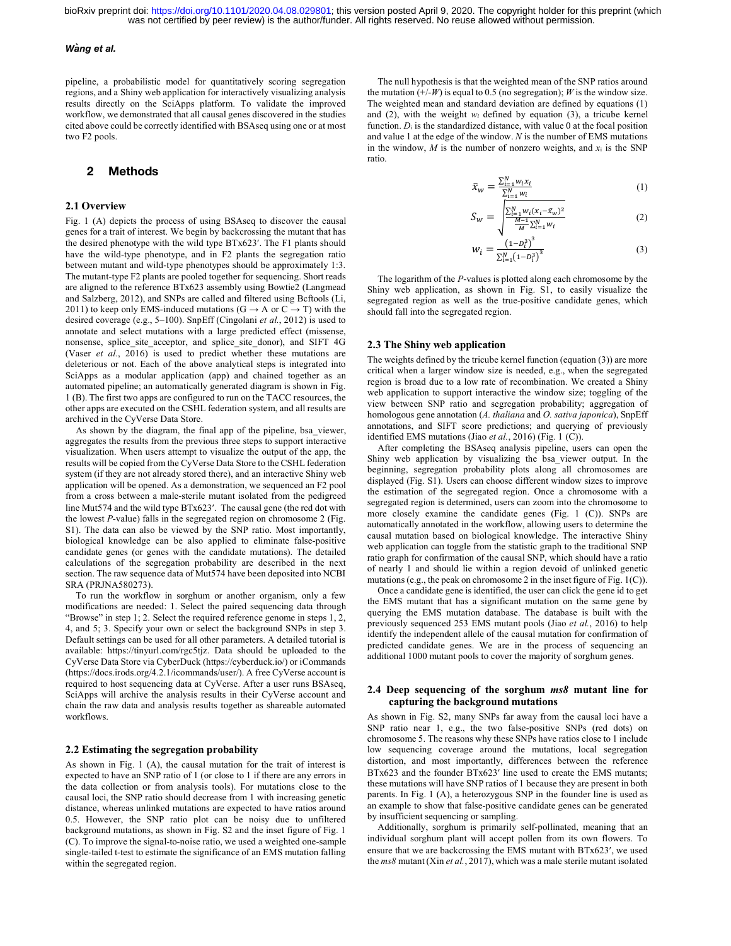#### *Wang et al.*

pipeline, a probabilistic model for quantitatively scoring segregation regions, and a Shiny web application for interactively visualizing analysis results directly on the SciApps platform. To validate the improved workflow, we demonstrated that all causal genes discovered in the studies cited above could be correctly identified with BSAseq using one or at most two F2 pools.

## **2 Methods**

#### **2.1 Overview**

Fig. 1 (A) depicts the process of using BSAseq to discover the causal genes for a trait of interest. We begin by backcrossing the mutant that has the desired phenotype with the wild type BTx623'. The F1 plants should have the wild-type phenotype, and in F2 plants the segregation ratio between mutant and wild-type phenotypes should be approximately 1:3. The mutant-type F2 plants are pooled together for sequencing. Short reads are aligned to the reference BTx623 assembly using Bowtie2 (Langmead and Salzberg, 2012), and SNPs are called and filtered using Bcftools (Li, 2011) to keep only EMS-induced mutations ( $G \rightarrow A$  or  $C \rightarrow T$ ) with the desired coverage (e.g., 5–100). SnpEff (Cingolani *et al.*, 2012) is used to annotate and select mutations with a large predicted effect (missense, nonsense, splice\_site\_acceptor, and splice\_site\_donor), and SIFT 4G (Vaser *et al.*, 2016) is used to predict whether these mutations are deleterious or not. Each of the above analytical steps is integrated into SciApps as a modular application (app) and chained together as an automated pipeline; an automatically generated diagram is shown in Fig. 1 (B). The first two apps are configured to run on the TACC resources, the other apps are executed on the CSHL federation system, and all results are archived in the CyVerse Data Store.

As shown by the diagram, the final app of the pipeline, bsa\_viewer, aggregates the results from the previous three steps to support interactive visualization. When users attempt to visualize the output of the app, the results will be copied from the CyVerse Data Store to the CSHL federation system (if they are not already stored there), and an interactive Shiny web application will be opened. As a demonstration, we sequenced an F2 pool from a cross between a male-sterile mutant isolated from the pedigreed line Mut574 and the wild type BTx623'. The causal gene (the red dot with the lowest *P*-value) falls in the segregated region on chromosome 2 (Fig. S1). The data can also be viewed by the SNP ratio. Most importantly, biological knowledge can be also applied to eliminate false-positive candidate genes (or genes with the candidate mutations). The detailed calculations of the segregation probability are described in the next section. The raw sequence data of Mut574 have been deposited into NCBI SRA (PRJNA580273).

To run the workflow in sorghum or another organism, only a few modifications are needed: 1. Select the paired sequencing data through "Browse" in step 1; 2. Select the required reference genome in steps 1, 2, 4, and 5; 3. Specify your own or select the background SNPs in step 3. Default settings can be used for all other parameters. A detailed tutorial is available: https://tinyurl.com/rgc5tjz. Data should be uploaded to the CyVerse Data Store via CyberDuck (https://cyberduck.io/) or iCommands (https://docs.irods.org/4.2.1/icommands/user/). A free CyVerse account is required to host sequencing data at CyVerse. After a user runs BSAseq, SciApps will archive the analysis results in their CyVerse account and chain the raw data and analysis results together as shareable automated workflows.

#### **2.2 Estimating the segregation probability**

As shown in Fig. 1 (A), the causal mutation for the trait of interest is expected to have an SNP ratio of 1 (or close to 1 if there are any errors in the data collection or from analysis tools). For mutations close to the causal loci, the SNP ratio should decrease from 1 with increasing genetic distance, whereas unlinked mutations are expected to have ratios around 0.5. However, the SNP ratio plot can be noisy due to unfiltered background mutations, as shown in Fig. S2 and the inset figure of Fig. 1 (C). To improve the signal-to-noise ratio, we used a weighted one-sample single-tailed t-test to estimate the significance of an EMS mutation falling within the segregated region.

The null hypothesis is that the weighted mean of the SNP ratios around the mutation  $(+/-W)$  is equal to 0.5 (no segregation); *W* is the window size. The weighted mean and standard deviation are defined by equations (1) and (2), with the weight *wi* defined by equation (3), a tricube kernel function.  $D_i$  is the standardized distance, with value  $0$  at the focal position and value 1 at the edge of the window. *N* is the number of EMS mutations in the window,  $M$  is the number of nonzero weights, and  $x_i$  is the SNP ratio.

$$
\bar{x}_w = \frac{\sum_{i=1}^N w_i x_i}{\sum_{i=1}^N w_i} \tag{1}
$$

$$
S_{w} = \sqrt{\frac{\sum_{i=1}^{N} w_{i}(x_{i} - \bar{x}_{w})^{2}}{\frac{M-1}{M} \sum_{i=1}^{N} w_{i}}}
$$
(2)

$$
W_i = \frac{\left(1 - D_i^3\right)^3}{\sum_{i=1}^N (1 - D_i^3)^3}
$$
 (3)

The logarithm of the *P*-values is plotted along each chromosome by the Shiny web application, as shown in Fig. S1, to easily visualize the segregated region as well as the true-positive candidate genes, which should fall into the segregated region.

#### **2.3 The Shiny web application**

The weights defined by the tricube kernel function (equation (3)) are more critical when a larger window size is needed, e.g., when the segregated region is broad due to a low rate of recombination. We created a Shiny web application to support interactive the window size; toggling of the view between SNP ratio and segregation probability; aggregation of homologous gene annotation (*A. thaliana* and *O. sativa japonica*), SnpEff annotations, and SIFT score predictions; and querying of previously identified EMS mutations (Jiao *et al.*, 2016) (Fig. 1 (C)).

After completing the BSAseq analysis pipeline, users can open the Shiny web application by visualizing the bsa\_viewer output. In the beginning, segregation probability plots along all chromosomes are displayed (Fig. S1). Users can choose different window sizes to improve the estimation of the segregated region. Once a chromosome with a segregated region is determined, users can zoom into the chromosome to more closely examine the candidate genes (Fig. 1 (C)). SNPs are automatically annotated in the workflow, allowing users to determine the causal mutation based on biological knowledge. The interactive Shiny web application can toggle from the statistic graph to the traditional SNP ratio graph for confirmation of the causal SNP, which should have a ratio of nearly 1 and should lie within a region devoid of unlinked genetic mutations (e.g., the peak on chromosome 2 in the inset figure of Fig. 1(C)).

Once a candidate gene is identified, the user can click the gene id to get the EMS mutant that has a significant mutation on the same gene by querying the EMS mutation database. The database is built with the previously sequenced 253 EMS mutant pools (Jiao *et al.*, 2016) to help identify the independent allele of the causal mutation for confirmation of predicted candidate genes. We are in the process of sequencing an additional 1000 mutant pools to cover the majority of sorghum genes.

#### **2.4 Deep sequencing of the sorghum** *ms8* **mutant line for capturing the background mutations**

As shown in Fig. S2, many SNPs far away from the causal loci have a SNP ratio near 1, e.g., the two false-positive SNPs (red dots) on chromosome 5. The reasons why these SNPs have ratios close to 1 include low sequencing coverage around the mutations, local segregation distortion, and most importantly, differences between the reference BTx623 and the founder BTx623' line used to create the EMS mutants; these mutations will have SNP ratios of 1 because they are present in both parents. In Fig. 1 (A), a heterozygous SNP in the founder line is used as an example to show that false-positive candidate genes can be generated by insufficient sequencing or sampling.

Additionally, sorghum is primarily self-pollinated, meaning that an individual sorghum plant will accept pollen from its own flowers. To ensure that we are backcrossing the EMS mutant with BTx623', we used the *ms8* mutant (Xin *et al.*, 2017), which was a male sterile mutant isolated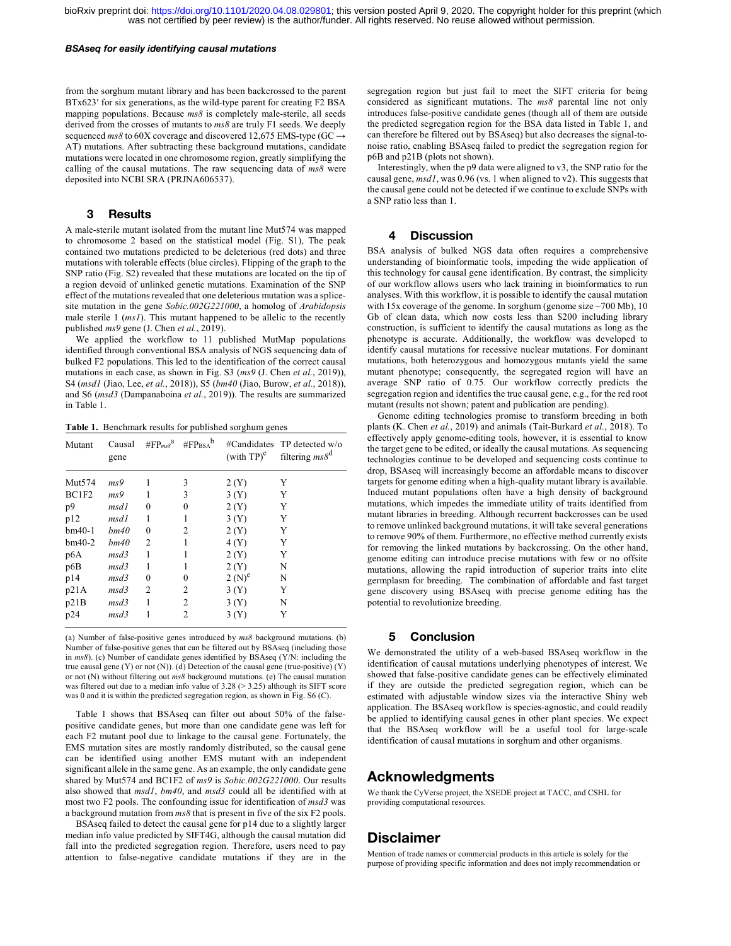#### *BSAseq for easily identifying causal mutations*

from the sorghum mutant library and has been backcrossed to the parent BTx623' for six generations, as the wild-type parent for creating F2 BSA mapping populations. Because *ms8* is completely male-sterile, all seeds derived from the crosses of mutants to *ms8* are truly F1 seeds. We deeply sequenced  $ms8$  to 60X coverage and discovered 12,675 EMS-type (GC  $\rightarrow$ AT) mutations. After subtracting these background mutations, candidate mutations were located in one chromosome region, greatly simplifying the calling of the causal mutations. The raw sequencing data of *ms8* were deposited into NCBI SRA (PRJNA606537).

### **3 Results**

A male-sterile mutant isolated from the mutant line Mut574 was mapped to chromosome 2 based on the statistical model (Fig. S1), The peak contained two mutations predicted to be deleterious (red dots) and three mutations with tolerable effects (blue circles). Flipping of the graph to the SNP ratio (Fig. S2) revealed that these mutations are located on the tip of a region devoid of unlinked genetic mutations. Examination of the SNP effect of the mutations revealed that one deleterious mutation was a splicesite mutation in the gene *Sobic.002G221000*, a homolog of *Arabidopsis* male sterile 1 (*ms1*). This mutant happened to be allelic to the recently published *ms9* gene (J. Chen *et al.*, 2019).

We applied the workflow to 11 published MutMap populations identified through conventional BSA analysis of NGS sequencing data of bulked F2 populations. This led to the identification of the correct causal mutations in each case, as shown in Fig. S3 (*ms9* (J. Chen *et al.*, 2019)), S4 (*msd1* (Jiao, Lee, *et al.*, 2018)), S5 (*bm40* (Jiao, Burow, *et al.*, 2018)), and S6 (*msd3* (Dampanaboina *et al.*, 2019)). The results are summarized in Table 1.

**Table 1.** Benchmark results for published sorghum genes

| Mutant   | Causal<br>gene | $\#FP_{ms\delta}^a$ #FP <sub>BSA</sub> b |                | $(\text{with TP})^c$ | #Candidates TP detected w/o<br>filtering $ms8^d$ |
|----------|----------------|------------------------------------------|----------------|----------------------|--------------------------------------------------|
| Mut574   | ms9            |                                          | 3              | 2(Y)                 | Y                                                |
| BC1F2    | ms9            |                                          | 3              | 3(Y)                 | Y                                                |
| p9       | msd1           | $\theta$                                 | 0              | 2(Y)                 | Y                                                |
| p12      | msdl           |                                          |                | 3(Y)                 | Y                                                |
| $bm40-1$ | bm40           | $\theta$                                 | 2              | 2(Y)                 | Y                                                |
| $bm40-2$ | bm40           | 2                                        |                | 4(Y)                 | Y                                                |
| p6A      | msd3           |                                          |                | 2(Y)                 | Y                                                |
| p6B      | msd3           |                                          |                | 2(Y)                 | N                                                |
| p14      | msd3           | $\theta$                                 | 0              | $2(N)^e$             | N                                                |
| p21A     | msd3           | $\overline{c}$                           | 2              | 3(Y)                 | Y                                                |
| p21B     | msd3           |                                          | 2              | 3(Y)                 | N                                                |
| p24      | msd3           |                                          | $\overline{c}$ | 3(Y)                 | Y                                                |

(a) Number of false-positive genes introduced by *ms8* background mutations. (b) Number of false-positive genes that can be filtered out by BSAseq (including those in *ms8*). (c) Number of candidate genes identified by BSAseq (Y/N: including the true causal gene (Y) or not (N)). (d) Detection of the causal gene (true-positive) (Y) or not (N) without filtering out *ms8* background mutations. (e) The causal mutation was filtered out due to a median info value of 3.28 (> 3.25) although its SIFT score was 0 and it is within the predicted segregation region, as shown in Fig. S6 (C).

Table 1 shows that BSAseq can filter out about 50% of the falsepositive candidate genes, but more than one candidate gene was left for each F2 mutant pool due to linkage to the causal gene. Fortunately, the EMS mutation sites are mostly randomly distributed, so the causal gene can be identified using another EMS mutant with an independent significant allele in the same gene. As an example, the only candidate gene shared by Mut574 and BC1F2 of *ms9* is *Sobic.002G221000*. Our results also showed that *msd1*, *bm40*, and *msd3* could all be identified with at most two F2 pools. The confounding issue for identification of *msd3* was a background mutation from *ms8* that is present in five of the six F2 pools.

BSAseq failed to detect the causal gene for p14 due to a slightly larger median info value predicted by SIFT4G, although the causal mutation did fall into the predicted segregation region. Therefore, users need to pay attention to false-negative candidate mutations if they are in the

segregation region but just fail to meet the SIFT criteria for being considered as significant mutations. The *ms8* parental line not only introduces false-positive candidate genes (though all of them are outside the predicted segregation region for the BSA data listed in Table 1, and can therefore be filtered out by BSAseq) but also decreases the signal-tonoise ratio, enabling BSAseq failed to predict the segregation region for p6B and p21B (plots not shown).

Interestingly, when the p9 data were aligned to v3, the SNP ratio for the causal gene, *msd1*, was 0.96 (vs. 1 when aligned to v2). This suggests that the causal gene could not be detected if we continue to exclude SNPs with a SNP ratio less than 1.

#### **4 Discussion**

BSA analysis of bulked NGS data often requires a comprehensive understanding of bioinformatic tools, impeding the wide application of this technology for causal gene identification. By contrast, the simplicity of our workflow allows users who lack training in bioinformatics to run analyses. With this workflow, it is possible to identify the causal mutation with 15x coverage of the genome. In sorghum (genome size  $\sim$  700 Mb), 10 Gb of clean data, which now costs less than \$200 including library construction, is sufficient to identify the causal mutations as long as the phenotype is accurate. Additionally, the workflow was developed to identify causal mutations for recessive nuclear mutations. For dominant mutations, both heterozygous and homozygous mutants yield the same mutant phenotype; consequently, the segregated region will have an average SNP ratio of 0.75. Our workflow correctly predicts the segregation region and identifies the true causal gene, e.g., for the red root mutant (results not shown; patent and publication are pending).

Genome editing technologies promise to transform breeding in both plants (K. Chen *et al.*, 2019) and animals (Tait-Burkard *et al.*, 2018). To effectively apply genome-editing tools, however, it is essential to know the target gene to be edited, or ideally the causal mutations. As sequencing technologies continue to be developed and sequencing costs continue to drop, BSAseq will increasingly become an affordable means to discover targets for genome editing when a high-quality mutant library is available. Induced mutant populations often have a high density of background mutations, which impedes the immediate utility of traits identified from mutant libraries in breeding. Although recurrent backcrosses can be used to remove unlinked background mutations, it will take several generations to remove 90% of them. Furthermore, no effective method currently exists for removing the linked mutations by backcrossing. On the other hand, genome editing can introduce precise mutations with few or no offsite mutations, allowing the rapid introduction of superior traits into elite germplasm for breeding. The combination of affordable and fast target gene discovery using BSAseq with precise genome editing has the potential to revolutionize breeding.

#### **5 Conclusion**

We demonstrated the utility of a web-based BSAseq workflow in the identification of causal mutations underlying phenotypes of interest. We showed that false-positive candidate genes can be effectively eliminated if they are outside the predicted segregation region, which can be estimated with adjustable window sizes via the interactive Shiny web application. The BSAseq workflow is species-agnostic, and could readily be applied to identifying causal genes in other plant species. We expect that the BSAseq workflow will be a useful tool for large-scale identification of causal mutations in sorghum and other organisms.

## **Acknowledgments**

We thank the CyVerse project, the XSEDE project at TACC, and CSHL for providing computational resources.

# **Disclaimer**

Mention of trade names or commercial products in this article is solely for the purpose of providing specific information and does not imply recommendation or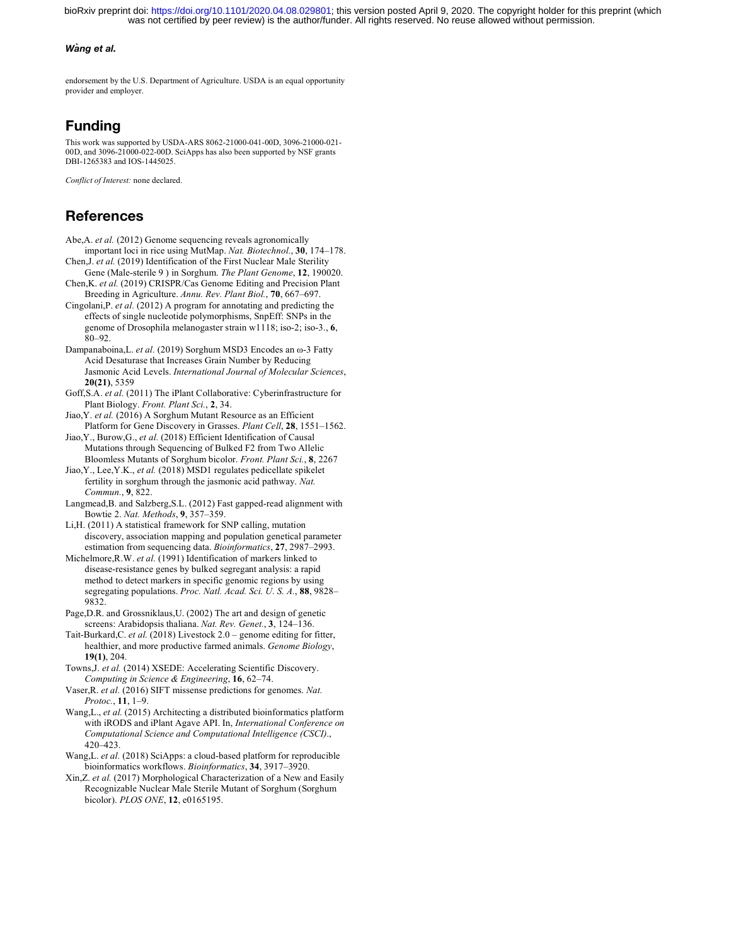was not certified by peer review) is the author/funder. All rights reserved. No reuse allowed without permission. bioRxiv preprint doi: [https://doi.org/10.1101/2020.04.08.029801;](https://doi.org/10.1101/2020.04.08.029801) this version posted April 9, 2020. The copyright holder for this preprint (which

#### *Wang et al.*

endorsement by the U.S. Department of Agriculture. USDA is an equal opportunity provider and employer.

# **Funding**

This work was supported by USDA-ARS 8062-21000-041-00D, 3096-21000-021- 00D, and 3096-21000-022-00D. SciApps has also been supported by NSF grants DBI-1265383 and IOS-1445025.

*Conflict of Interest:* none declared.

# **References**

- Abe,A. *et al.* (2012) Genome sequencing reveals agronomically important loci in rice using MutMap. *Nat. Biotechnol.*, **30**, 174–178.
- Chen,J. *et al.* (2019) Identification of the First Nuclear Male Sterility Gene (Male-sterile 9 ) in Sorghum. *The Plant Genome*, **12**, 190020. Chen,K. *et al.* (2019) CRISPR/Cas Genome Editing and Precision Plant
- Breeding in Agriculture. *Annu. Rev. Plant Biol.*, **70**, 667–697.
- Cingolani,P. *et al.* (2012) A program for annotating and predicting the effects of single nucleotide polymorphisms, SnpEff: SNPs in the genome of Drosophila melanogaster strain w1118; iso-2; iso-3., **6**,  $80 - 92$ .
- Dampanaboina,L. *et al.* (2019) Sorghum MSD3 Encodes an ω-3 Fatty Acid Desaturase that Increases Grain Number by Reducing Jasmonic Acid Levels. *International Journal of Molecular Sciences*, **20(21)**, 5359
- Goff,S.A. *et al.* (2011) The iPlant Collaborative: Cyberinfrastructure for Plant Biology. *Front. Plant Sci.*, **2**, 34.
- Jiao,Y. *et al.* (2016) A Sorghum Mutant Resource as an Efficient Platform for Gene Discovery in Grasses. *Plant Cell*, **28**, 1551–1562.
- Jiao,Y., Burow,G., *et al.* (2018) Efficient Identification of Causal Mutations through Sequencing of Bulked F2 from Two Allelic Bloomless Mutants of Sorghum bicolor. *Front. Plant Sci.*, **8**, 2267
- Jiao,Y., Lee,Y.K., *et al.* (2018) MSD1 regulates pedicellate spikelet fertility in sorghum through the jasmonic acid pathway. *Nat. Commun.*, **9**, 822.
- Langmead,B. and Salzberg,S.L. (2012) Fast gapped-read alignment with Bowtie 2. *Nat. Methods*, **9**, 357–359.
- Li,H. (2011) A statistical framework for SNP calling, mutation discovery, association mapping and population genetical parameter estimation from sequencing data. *Bioinformatics*, **27**, 2987–2993.
- Michelmore,R.W. *et al.* (1991) Identification of markers linked to disease-resistance genes by bulked segregant analysis: a rapid method to detect markers in specific genomic regions by using segregating populations. *Proc. Natl. Acad. Sci. U. S. A.*, **88**, 9828– 9832.
- Page,D.R. and Grossniklaus,U. (2002) The art and design of genetic screens: Arabidopsis thaliana. *Nat. Rev. Genet.*, **3**, 124–136.
- Tait-Burkard,C. *et al.* (2018) Livestock 2.0 genome editing for fitter, healthier, and more productive farmed animals. *Genome Biology*, **19(1)**, 204.
- Towns,J. *et al.* (2014) XSEDE: Accelerating Scientific Discovery. *Computing in Science & Engineering*, **16**, 62–74.
- Vaser,R. *et al.* (2016) SIFT missense predictions for genomes. *Nat. Protoc.*, **11**, 1–9.
- Wang,L., *et al.* (2015) Architecting a distributed bioinformatics platform with iRODS and iPlant Agave API. In, *International Conference on Computational Science and Computational Intelligence (CSCI)*., 420–423.
- Wang,L. *et al.* (2018) SciApps: a cloud-based platform for reproducible bioinformatics workflows. *Bioinformatics*, **34**, 3917–3920.
- Xin,Z. *et al.* (2017) Morphological Characterization of a New and Easily Recognizable Nuclear Male Sterile Mutant of Sorghum (Sorghum bicolor). *PLOS ONE*, **12**, e0165195.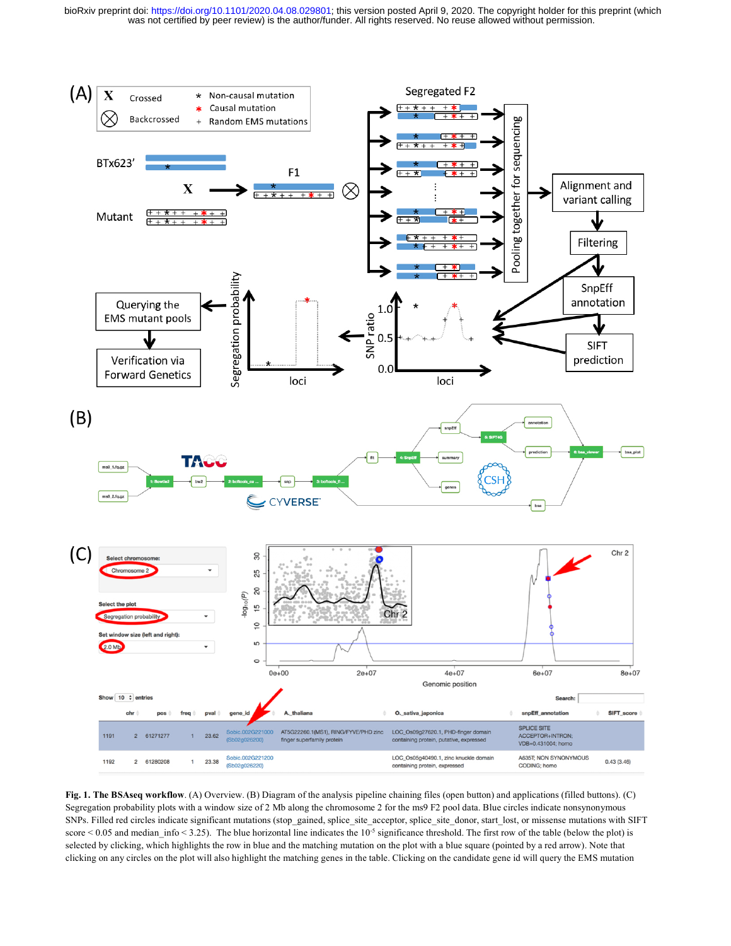was not certified by peer review) is the author/funder. All rights reserved. No reuse allowed without permission. bioRxiv preprint doi: [https://doi.org/10.1101/2020.04.08.029801;](https://doi.org/10.1101/2020.04.08.029801) this version posted April 9, 2020. The copyright holder for this preprint (which



**Fig. 1. The BSAseq workflow**. (A) Overview. (B) Diagram of the analysis pipeline chaining files (open button) and applications (filled buttons). (C) Segregation probability plots with a window size of 2 Mb along the chromosome 2 for the ms9 F2 pool data. Blue circles indicate nonsynonymous SNPs. Filled red circles indicate significant mutations (stop\_gained, splice\_site\_acceptor, splice\_site\_donor, start\_lost, or missense mutations with SIFT score  $< 0.05$  and median info  $< 3.25$ ). The blue horizontal line indicates the  $10^{-5}$  significance threshold. The first row of the table (below the plot) is selected by clicking, which highlights the row in blue and the matching mutation on the plot with a blue square (pointed by a red arrow). Note that clicking on any circles on the plot will also highlight the matching genes in the table. Clicking on the candidate gene id will query the EMS mutation